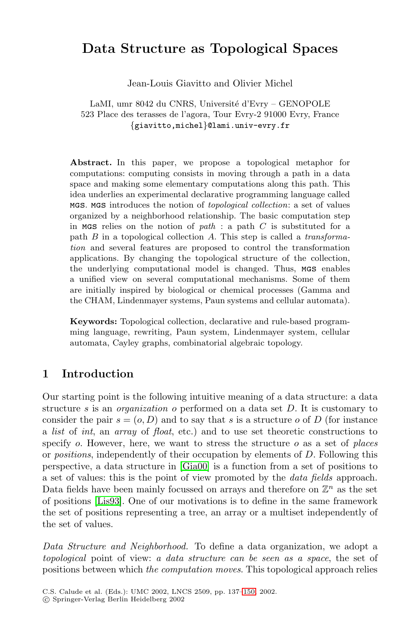# <span id="page-0-0"></span>**Data Structure as Topological Spaces**

Jean-Louis Giavitto and Olivier Michel

LaMI, umr 8042 du CNRS, Université d'Evry – GENOPOLE 523 Place des terasses de l'agora, Tour Evry-2 91000 Evry, France {giavitto,michel}@lami.univ-evry.fr

**Abstract.** In this paper, we propose a topological metaphor for computations: computing consists in moving through a path in a data space and making some elementary computations along this path. This idea underlies an experimental declarative programming language called mgs. mgs introduces the notion of topological collection: a set of values organized by a neighborhood relationship. The basic computation step in  $MGS$  relies on the notion of path : a path  $C$  is substituted for a path  $B$  in a topological collection  $A$ . This step is called a *transforma*tion and several features are proposed to control the transformation applications. By changing the topological structure of the collection, the underlying computational model is changed. Thus, mgs enables a unified view on several computational mechanisms. Some of them are initially inspired by biological or chemical processes (Gamma and the CHAM, Lindenmayer systems, Paun systems and cellular automata).

**Keywords:** Topological collection, declarative and rule-based programming language, rewriting, Paun system, Lindenmayer system, cellular auto[mata, Ca](#page-12-0)yley graphs, combinatorial algebraic topology.

### **1 Introduction**

Our starting point is the following intuitive meaning of a data structure: a data structure  $s$  is an *organization o* performed on a data set  $D$ . It is customary to consider the pair  $s = (o, D)$  and to say that s is a structure o of D (for instance a *list* of *int*, an *array* of *float*, etc.) and to use set theoretic constructions to specify  $o$ . However, here, we want to stress the structure  $o$  as a set of places or positions, independently of their occupation by elements of D. Following this perspective, a data structure in [Gia00] is a function from a set of positions to a set of values: this is the [poi](#page-13-0)nt of view promoted by the data fields approach. Data fields have been mainly focussed on arrays and therefore on  $\mathbb{Z}^n$  as the set of positions [Lis93]. One of our motivations is to define in the same framework the set of positions representing a tree, an array or a multiset independently of the set of values.

Data Structure and Neighborhood. To define a data organization, we adopt a topological point of view: a data structure can be seen as a space, the set of positions between which the computation moves. This topological approach relies

C.S. Calude et al. (Eds.): UMC 2002, LNCS 2509, pp. 137–150, 2002.

c Springer-Verlag Berlin Heidelberg 2002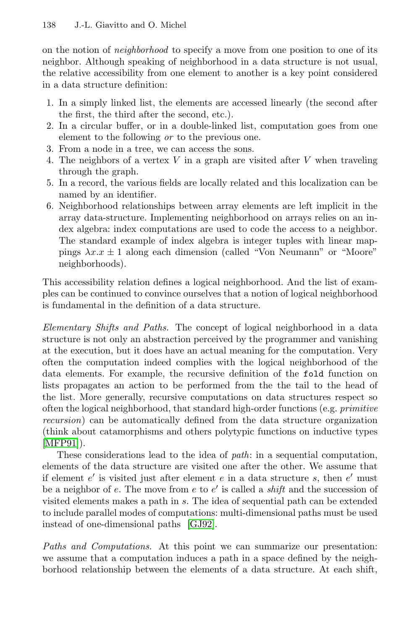on the notion of neighborhood to specify a move from one position to one of its neighbor. Although speaking of neighborhood in a data structure is not usual, the relative accessibility from one element to another is a key point considered in a data structure definition:

- 1. In a simply linked list, the elements are accessed linearly (the second after the first, the third after the second, etc.).
- 2. In a circular buffer, or in a double-linked list, computation goes from one element to the following or to the previous one.
- 3. From a node in a tree, we can access the sons.
- 4. The neighbors of a vertex V in a graph are visited after V when traveling through the graph.
- 5. In a record, the various fields are locally related and this localization can be named by an identifier.
- 6. Neighborhood relationships between array elements are left implicit in the array data-structure. Implementing neighborhood on arrays relies on an index algebra: index computations are used to code the access to a neighbor. The standard example of index algebra is integer tuples with linear mappings  $\lambda x.x \pm 1$  along each dimension (called "Von Neumann" or "Moore" neighborhoods).

This accessibility relation defines a logical neighborhood. And the list of examples can be continued to convince ourselves that a notion of logical neighborhood is fundamental in the definition of a data structure.

Elementary Shifts and Paths. The concept of logical neighborhood in a data structure is not only an abstraction perceived by the programmer and vanishing at the execution, but it does have an actual meaning for the computation. Very often the computation indeed complies with the logical neighborhood of the data elements. For example, the recursive definition of the fold function on lists propagates an action to be performed from the the tail to the head of the list. More generally, recursive computations on data structures respect so often the logical neighborhood, that standard high-order functions (e.g. primitive recursion) can be automatically defined from the data structure organization (think about catamorphisms and others polytypic functions on inductive types [\[MFP91\]](#page-13-0)).

These considerations lead to the idea of path: in a sequential computation, elements of the data structure are visited one after the other. We assume that if element  $e'$  is visited just after element  $e$  in a data structure  $s$ , then  $e'$  must be a neighbor of  $e$ . The move from  $e$  to  $e'$  is called a *shift* and the succession of visited elements makes a path in s. The idea of sequential path can be extended to include parallel modes of computations: multi-dimensional paths must be used instead of one-dimensional paths [\[GJ92\]](#page-12-0).

Paths and Computations. At this point we can summarize our presentation: we assume that a computation induces a path in a space defined by the neighborhood relationship between the elements of a data structure. At each shift,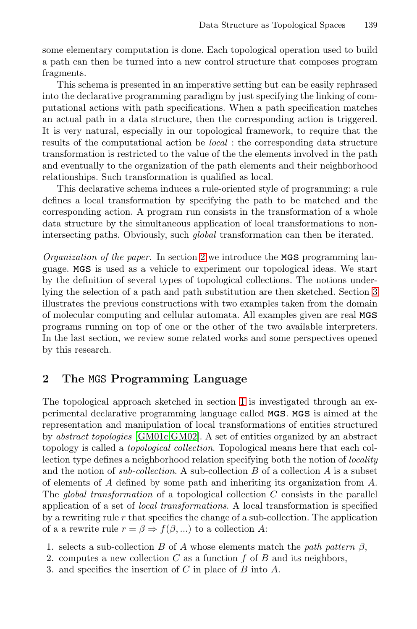some elementary computation is done. Each topological operation used to build a path can then be turned into a new control structure that composes program fragments.

This schema is presented in an imperative setting but can be easily rephrased into the declarative programming paradigm by just specifying the linking of computational actions with path specifications. When a path specification matches an actual path in a data structure, then the corresponding action is triggered. It is very natural, especially in our topological framework, to require that the results of the computational action be local : the corresponding data structure transformation is restricted to the value of the the elements involved in the path and eventually to the organization of the path elements and their neighborhood relationships. Such transformation is qualified as local.

This declarative schema induces a rule-oriented style of programming: a rule defines a local transformation by specifying the path to be matched and the corresponding action. A program run consists in the transformation of a whole data structure by the simultaneous application of local transformations to nonintersecting paths. Obviously, such global transformation can then be iterated.

*Organization of the paper.* In section 2 we introduce the  $MGS$  programming language. MGS is used as a vehicle to experiment our topological ideas. We start by the definition of several types of topological collections. The notions underlying the selection of a path and path substitution are then sketched. Section [3](#page-7-0) illustrates the previous constructions with two examples taken from the domain of molecular computing and cellular automata. All examples given are real mgs programs running on top of one or the other of the two available interpreters. In the last section, we review some related works and some perspectives opened by this research.

### **2 The** MGS **Programming Language**

The topological approach sketched in section [1](#page-0-0) is investigated through an experimental declarative programming language called mgs. mgs is aimed at the representation and manipulation of local transformations of entities structured by abstract topologies [\[GM01c,GM02\]](#page-12-0). A set of entities organized by an abstract topology is called a topological collection. Topological means here that each collection type defines a neighborhood relation specifying both the notion of locality and the notion of *sub-collection*. A sub-collection  $B$  of a collection  $A$  is a subset of elements of A defined by some path and inheriting its organization from A. The global transformation of a topological collection  $C$  consists in the parallel application of a set of local transformations. A local transformation is specified by a rewriting rule  $r$  that specifies the change of a sub-collection. The application of a a rewrite rule  $r = \beta \Rightarrow f(\beta, \ldots)$  to a collection A:

- 1. selects a sub-collection B of A whose elements match the path pattern  $\beta$ ,
- 2. computes a new collection  $C$  as a function  $f$  of  $B$  and its neighbors,
- 3. and specifies the insertion of C in place of B into A.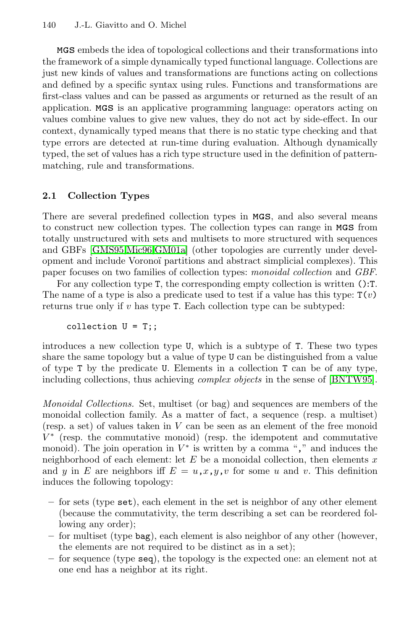mgs embeds the idea of topological collections and their transformations into the framework of a simple dynamically typed functional language. Collections are just new kinds of values and transformations are functions acting on collections and defined by a specific syntax using rules. Functions and transformations are first-class values and can be passed as arguments or returned as the result of an application. mgs is an applicative programming language: operators acting on values combine values to give new values, they do not act by side-effect. In our context, dynamically typed means that there is no static type checking and that type errors are detected at run-time during evaluation. Although dynamically typed, the set of values has a rich type structure used in the definition of patternmatching, rule and transformations.

### **2.1 Collection Types**

There are several predefined collection types in  $MGS$ , and also several means to construct new collection types. The collection types can range in mgs from totally unstructured with sets and multisets to more structured with sequences and GBFs [\[GMS95,](#page-12-0)[Mic96,](#page-13-0)[GM01a\]](#page-12-0) (other topologies are currently under development and include Vorono¨ı partitions and abstract simplicial complexes). This paper focuses on two families of collection types: monoidal collection and GBF.

For any collection type T, the corresponding empty collection is written ():T. The name of a type is also a predicate used to test if a value has this type:  $T(v)$ returns true only if  $v$  has type  $T$ . Each collection type can be subtyped:

collection  $U = T$ ;;

introduces a new collection type U, which is a subtype of T. These two types share the same topology but a value of type U can be distinguished from a value of type T by the predicate U. Elements in a collection T can be of any type, including collections, thus achieving complex objects in the sense of [\[BNTW95\]](#page-12-0).

Monoidal Collections. Set, multiset (or bag) and sequences are members of the monoidal collection family. As a matter of fact, a sequence (resp. a multiset) (resp. a set) of values taken in  $V$  can be seen as an element of the free monoid  $V^*$  (resp. the commutative monoid) (resp. the idempotent and commutative monoid). The join operation in  $V^*$  is written by a comma "," and induces the neighborhood of each element: let  $E$  be a monoidal collection, then elements  $x$ and y in E are neighbors iff  $E = u, x, y, v$  for some u and v. This definition induces the following topology:

- **–** for sets (type set), each element in the set is neighbor of any other element (because the commutativity, the term describing a set can be reordered following any order);
- **–** for multiset (type bag), each element is also neighbor of any other (however, the elements are not required to be distinct as in a set);
- **–** for sequence (type seq), the topology is the expected one: an element not at one end has a neighbor at its right.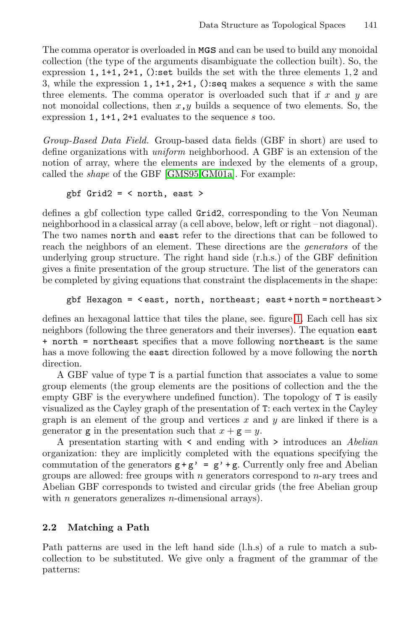The comma operator is overloaded in **MGS** and can be used to build any monoidal collection (the type of the arguments disambiguate the collection built). So, the expression 1, 1+1, 2+1, ():set builds the set with the three elements 1, 2 and 3, while the expression 1, 1+1, 2+1, (): seq makes a sequence s with the same three elements. The comma operator is overloaded such that if  $x$  and  $y$  are not monoidal collections, then  $x, y$  builds a sequence of two elements. So, the expression 1, 1+1, 2+1 evaluates to the sequence s too.

Group-Based Data Field. Group-based data fields (GBF in short) are used to define organizations with uniform neighborhood. A GBF is an extension of the notion of array, where the elements are indexed by the elements of a group, called the shape of the GBF [\[GMS95,GM01a\]](#page-12-0). For example:

#### gbf  $Grid2 = < north, east >$

defines a gbf collection type called Grid2, corresponding to the Von Neuman neighborhood in a classical array (a cell above, below, left or right – not diagonal). The two names north and east refer to the directions that can be followed to reach the neighbors of an element. These directions are the generators of the underlying group structure. The right hand side  $(r.h.s.)$  of the GBF definition gives a finite presentation of the group structure. The list of the generators can be completed by giving equations that constraint the displacements in the shape:

#### gbf Hexagon = < east, north, northeast; east + north = northeast >

defines an hexagonal lattice that tiles the plane, see. figure [1.](#page-9-0) Each cell has six neighbors (following the three generators and their inverses). The equation east + north = northeast specifies that a move following northeast is the same has a move following the east direction followed by a move following the north direction.

A GBF value of type T is a partial function that associates a value to some group elements (the group elements are the positions of collection and the the empty GBF is the everywhere undefined function). The topology of T is easily visualized as the Cayley graph of the presentation of T: each vertex in the Cayley graph is an element of the group and vertices x and y are linked if there is a generator g in the presentation such that  $x + g = y$ .

A presentation starting with < and ending with > introduces an Abelian organization: they are implicitly completed with the equations specifying the commutation of the generators  ${\tt g} + {\tt g'}\; =\; {\tt g'} + {\tt g}.$  Currently only free and Abelian groups are allowed: free groups with n generators correspond to n-ary trees and Abelian GBF corresponds to twisted and circular grids (the free Abelian group with *n* generators generalizes *n*-dimensional arrays).

### **2.2 Matching a Path**

Path patterns are used in the left hand side (l.h.s) of a rule to match a subcollection to be substituted. We give only a fragment of the grammar of the patterns: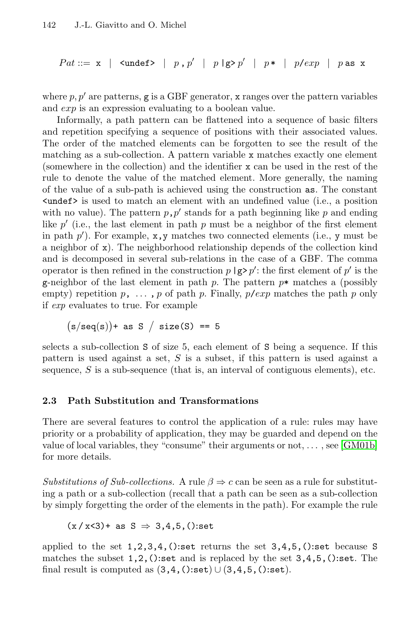```
Pat::= \verb|x| | <undef> |p , p' | p |g> p' | p * | p / exp | p as \verb|x|
```
where  $p, p'$  are patterns,  $g$  is a GBF generator, x ranges over the pattern variables and exp is an expression evaluating to a boolean value.

Informally, a path pattern can be flattened into a sequence of basic filters and repetition specifying a sequence of positions with their associated values. The order of the matched elements can be forgotten to see the result of the matching as a sub-collection. A pattern variable x matches exactly one element (somewhere in the collection)and the identifier x can be used in the rest of the rule to denote the value of the matched element. More generally, the naming of the value of a sub-path is achieved using the construction as. The constant <undef> is used to match an element with an undefined value (i.e., a position with no value). The pattern  $p, p'$  stands for a path beginning like  $p$  and ending like  $p'$  (i.e., the last element in path  $p$  must be a neighbor of the first element in path  $p'$ ). For example, x,y matches two connected elements (i.e., y must be a neighbor of x). The neighborhood relationship depends of the collection kind and is decomposed in several sub-relations in the case of a GBF. The comma operator is then refined in the construction  $p | g > p'$ : the first element of  $p'$  is the g-neighbor of the last element in path  $p$ . The pattern  $p*$  matches a (possibly empty) repetition p, ..., p of path p. Finally,  $p/exp$  matches the path p only if exp evaluates to true. For example

$$
(s/seq(s))
$$
 + as S / size(S) == 5

selects a sub-collection S of size 5, each element of S being a sequence. If this pattern is used against a set, S is a subset, if this pattern is used against a sequence,  $S$  is a sub-sequence (that is, an interval of contiguous elements), etc.

#### **2.3 Path Substitution and Transformations**

There are several features to control the application of a rule: rules may have priority or a probability of application, they may be guarded and depend on the value of local variables, they "consume" their arguments or not, ... , see [\[GM01b\]](#page-12-0) for more details.

Substitutions of Sub-collections. A rule  $\beta \Rightarrow c$  can be seen as a rule for substituting a path or a sub-collection (recall that a path can be seen as a sub-collection by simply forgetting the order of the elements in the path). For example the rule

$$
(x/x<3)
$$
 + as S  $\Rightarrow$  3,4,5,():set

applied to the set  $1,2,3,4$ , (): set returns the set  $3,4,5$ , (): set because S matches the subset  $1,2,$  (): set and is replaced by the set  $3,4,5,$  (): set. The final result is computed as  $(3,4,).$   $\cup$   $(3,4,5,).$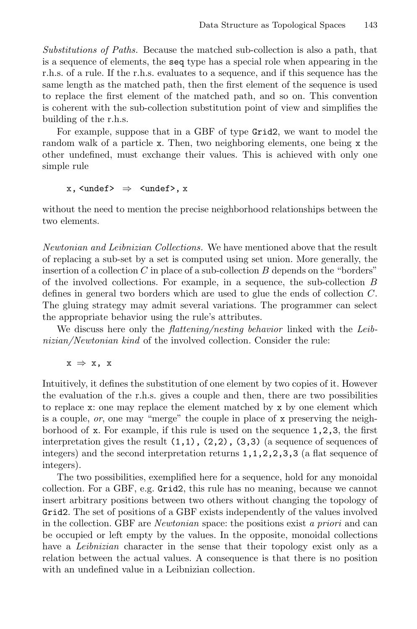Substitutions of Paths. Because the matched sub-collection is also a path, that is a sequence of elements, the seq type has a special role when appearing in the r.h.s. of a rule. If the r.h.s. evaluates to a sequence, and if this sequence has the same length as the matched path, then the first element of the sequence is used to replace the first element of the matched path, and so on. This convention is coherent with the sub-collection substitution point of view and simplifies the building of the r.h.s.

For example, suppose that in a GBF of type Grid2, we want to model the random walk of a particle x. Then, two neighboring elements, one being x the other undefined, must exchange their values. This is achieved with only one simple rule

#### x,  $\langle$ undef>  $\Rightarrow$   $\langle$ undef>, x

without the need to mention the precise neighborhood relationships between the two elements.

Newtonian and Leibnizian Collections. We have mentioned above that the result of replacing a sub-set by a set is computed using set union. More generally, the insertion of a collection  $C$  in place of a sub-collection  $B$  depends on the "borders" of the involved collections. For example, in a sequence, the sub-collection B defines in general two borders which are used to glue the ends of collection C. The gluing strategy may admit several variations. The programmer can select the appropriate behavior using the rule's attributes.

We discuss here only the *flattening/nesting behavior* linked with the Leibnizian/Newtonian kind of the involved collection. Consider the rule:

 $x \Rightarrow x, x$ 

Intuitively, it defines the substitution of one element by two copies of it. However the evaluation of the r.h.s. gives a couple and then, there are two possibilities to replace x: one may replace the element matched by x by one element which is a couple, or, one may "merge" the couple in place of x preserving the neighborhood of x. For example, if this rule is used on the sequence 1,2,3, the first interpretation gives the result (1,1), (2,2), (3,3) (a sequence of sequences of integers) and the second interpretation returns  $1, 1, 2, 2, 3, 3$  (a flat sequence of integers).

The two possibilities, exemplified here for a sequence, hold for any monoidal collection. For a GBF, e.g. Grid2, this rule has no meaning, because we cannot insert arbitrary positions between two others without changing the topology of Grid2. The set of positions of a GBF exists independently of the values involved in the collection. GBF are Newtonian space: the positions exist a priori and can be occupied or left empty by the values. In the opposite, monoidal collections have a *Leibnizian* character in the sense that their topology exist only as a relation between the actual values. A consequence is that there is no position with an undefined value in a Leibnizian collection.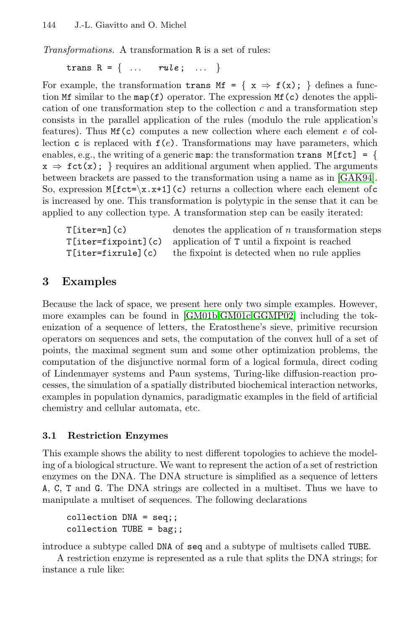<span id="page-7-0"></span>Transformations. A transformation R is a set of rules:

trans  $R = \{ ... \text{ rule } ; ... \}$ 

For example, the transformation trans  $Mf = \{ x \Rightarrow f(x) ; \}$  defines a function Mf similar to the map(f) operator. The expression Mf(c) denotes the application of one transformation step to the collection  $c$  and a transformation step consists in the parallel application of the rules (modulo the rule application's features). Thus  $Mf(c)$  computes a new collection where each element e of collection c is replaced with  $f(e)$ . Transformations may have parameters, which enables, e.g., the writing of a generic map: the transformation trans  $M[ftct] = \{$  $x \Rightarrow \text{fct}(x);$  requires an additional argument when applied. The arguments between brackets are passed to the transformation using a name as in [\[GAK94\]](#page-12-0). So, expression  $M[ftct=\x.x+1](c)$  returns a collection where each element ofc is increased by one. This transformation is polytypic in the sense that it can be applied to any collection type. A transformation step can be easily iterated:

| $T[iter=n](c)$           | denotes the application of $n$ transformation steps |
|--------------------------|-----------------------------------------------------|
| $T[iter=fixpoint](c)$    | application of T until a fixpoint is reached        |
| $T$ [iter=fixrule] $(c)$ | the fixpoint is detected when no rule applies       |

# **3 Examples**

Because the lack of space, we present here only two simple examples. However, more examples can be found in [\[GM01b,GM01c,GGMP02\]](#page-12-0) including the tokenization of a sequence of letters, the Eratosthene's sieve, primitive recursion operators on sequences and sets, the computation of the convex hull of a set of points, the maximal segment sum and some other optimization problems, the computation of the disjunctive normal form of a logical formula, direct coding of Lindenmayer systems and Paun systems, Turing-like diffusion-reaction processes, the simulation of a spatially distributed biochemical interaction networks, examples in population dynamics, paradigmatic examples in the field of artificial chemistry and cellular automata, etc.

#### **3.1 Restriction Enzymes**

This example shows the ability to nest different topologies to achieve the modeling of a biological structure. We want to represent the action of a set of restriction enzymes on the DNA. The DNA structure is simplified as a sequence of letters A, C, T and G. The DNA strings are collected in a multiset. Thus we have to manipulate a multiset of sequences. The following declarations

```
collection DNA = seq;;
collection TUBE = bag;
```
introduce a subtype called DNA of seq and a subtype of multisets called TUBE.

A restriction enzyme is represented as a rule that splits the DNA strings; for instance a rule like: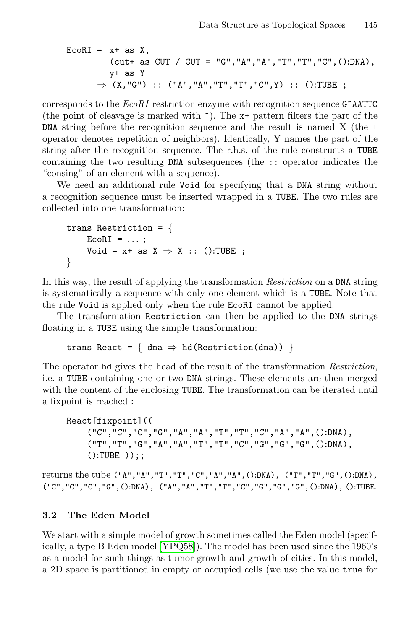EcoRI = x+ as X,  
(cut+ as CUT / CUT = "G", "A", "A", "T", "T", "C", ().DNA),  
y+ as Y  

$$
\Rightarrow
$$
 (X, "G") :: ("A", "A", "T", "T", "C", Y) :: (.):TUBE ;

corresponds to the  $EcoRI$  restriction enzyme with recognition sequence  $G^{\texttt{AATTC}}$ (the point of cleavage is marked with  $\hat{\ }$ ). The  $x+$  pattern filters the part of the DNA string before the recognition sequence and the result is named X (the + operator denotes repetition of neighbors). Identically, Y names the part of the string after the recognition sequence. The r.h.s. of the rule constructs a TUBE containing the two resulting DNA subsequences (the :: operator indicates the "consing" of an element with a sequence).

We need an additional rule Void for specifying that a DNA string without a recognition sequence must be inserted wrapped in a TUBE. The two rules are collected into one transformation:

```
trans Restriction = {
    EcoRI = ...;Void = x+ as X \Rightarrow X :: ():TUBE ;
}
```
In this way, the result of applying the transformation Restriction on a DNA string is systematically a sequence with only one element which is a TUBE. Note that the rule Void is applied only when the rule EcoRI cannot be applied.

The transformation Restriction can then be applied to the DNA strings floating in a TUBE using the simple transformation:

```
trans React = { dna \Rightarrow hd(Restriction(dna)) }
```
The operator hd gives the head of the result of the transformation Restriction, i.e. a TUBE containing one or two DNA strings. These elements are then merged with the content of the enclosing TUBE. The transformation can be iterated until a fixpoint is reached :

```
React[fixpoint]((
    ("C","C","C","G","A","A","T","T","C","A","A",():DNA),
    ("T","T","G","A","A","T","T","C","G","G","G",():DNA),
    ():TUBE ));;
```
returns the tube ("A","A","T","T","C","A","A",():DNA), ("T","T","G",():DNA), ("C","C","C","G",():DNA), ("A","A","T","T","C","G","G","G",():DNA), ():TUBE.

## **3.2 The Eden Model**

We start with a simple model of growth sometimes called the Eden model (specifically, a type B Eden model [\[YPQ58\]](#page-13-0)). The model has been used since the 1960's as a model for such things as tumor growth and growth of cities. In this model, a 2D space is partitioned in empty or occupied cells (we use the value true for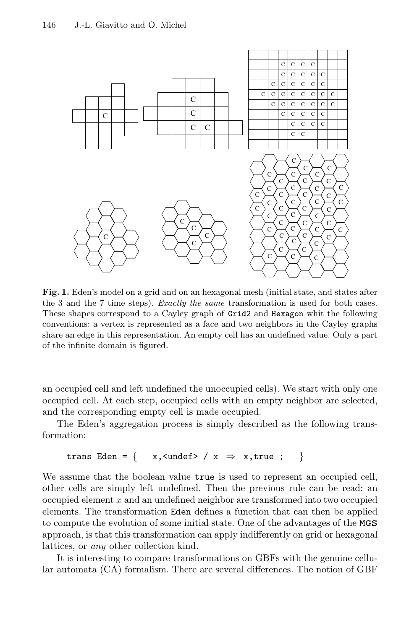<span id="page-9-0"></span>

**Fig. 1.** Eden's model on a grid and on an hexagonal mesh (initial state, and states after the 3 and the 7 time steps). Exactly the same transformation is used for both cases. These shapes correspond to a Cayley graph of Grid2 and Hexagon whit the following conventions: a vertex is represented as a face and two neighbors in the Cayley graphs share an edge in this representation. An empty cell has an undefined value. Only a part of the infinite domain is figured.

an occupied cell and left undefined the unoccupied cells). We start with only one occupied cell. At each step, occupied cells with an empty neighbor are selected, and the corresponding empty cell is made occupied.

The Eden's aggregation process is simply described as the following transformation:

trans Eden = { x, 
$$
\langle
$$
 under> x  $\Rightarrow$  x, true ; }

We assume that the boolean value true is used to represent an occupied cell, other cells are simply left undefined. Then the previous rule can be read: an occupied element  $x$  and an undefined neighbor are transformed into two occupied elements. The transformation Eden defines a function that can then be applied to compute the evolution of some initial state. One of the advantages of the mgs approach, is that this transformation can apply indifferently on grid or hexagonal lattices, or any other collection kind.

It is interesting to compare transformations on GBFs with the genuine cellular automata  $(CA)$  formalism. There are several differences. The notion of GBF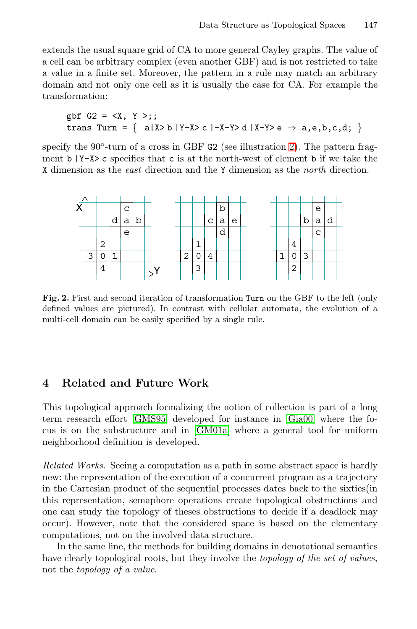extends the usual square grid of CA to more general Cayley graphs. The value of a cell can be arbitrary complex (even another GBF) and is not restricted to take a value in a finite set. Moreover, the pattern in a rule may match an arbitrary domain and not only one cell as it is usually the case for CA. For example the transformation:

gbf  $G2 = \langle X, Y \rangle$ ; trans Turn = { a|X> b|Y-X> c|-X-Y> d|X-Y> e  $\Rightarrow$  a, e, b, c, d; }

specify the  $90°$ -turn of a cross in GBF G2 (see illustration 2). The pattern fragment b  $|Y-X\rangle$  c specifies that c is at the north-west of element b if we take the X dimension as the east direction and the Y dimension as the north direction.



**Fig. 2.** First and second iteration of transformation Turn on the GBF to the left (only defined values are pictured). In contrast with cellular automata, the evolution of a multi-cell domain can be easily specified by a single rule.

### **4 Related and Future Work**

This topological approach formalizing the notion of collection is part of a long term research effort [\[GMS95\]](#page-12-0) developed for instance in [\[Gia00\]](#page-12-0) where the focus is on the substructure and in [\[GM01a\]](#page-12-0) where a general tool for uniform neighborhood definition is developed.

Related Works. Seeing a computation as a path in some abstract space is hardly new: the representation of the execution of a concurrent program as a trajectory in the Cartesian product of the sequential processes dates back to the sixties(in this representation, semaphore operations create topological obstructions and one can study the topology of theses obstructions to decide if a deadlock may occur). However, note that the considered space is based on the elementary computations, not on the involved data structure.

In the same line, the methods for building domains in denotational semantics have clearly topological roots, but they involve the *topology of the set of values*, not the topology of a value.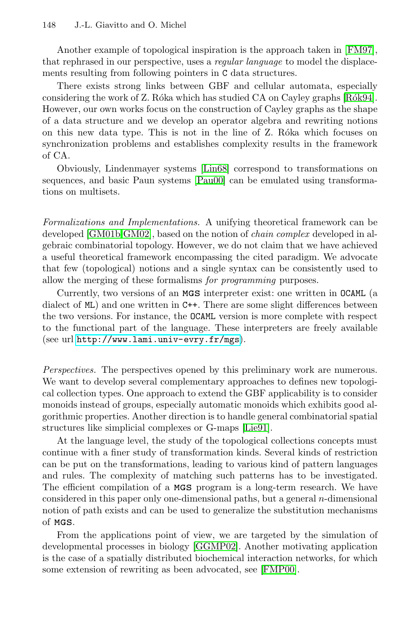Another example of topological inspiration is the approach taken in [\[FM97\]](#page-12-0), that rephrased in our perspective, uses a regular language to model the displacements resulting from following pointers in C data structures.

There exists strong links between GBF and cellular automata, especially considering the work of  $Z$ . Róka which has studied  $CA$  on Cayley graphs  $[Rók94]$ . However, our own works focus on the construction of Cayley graphs as the shape of a data structure and we develop an operator algebra and rewriting notions on this new data type. This is not in the line of Z. R´oka which focuses on synchronization problems and establishes complexity results in the framework of CA.

Obviously, Lindenmayer systems [\[Lin68\]](#page-13-0) correspond to transformations on sequences, and basic Paun systems [\[Pau00\]](#page-13-0) can be emulated using transformations on multisets.

Formalizations and Implementations. A unifying theoretical framework can be developed [\[GM01b,GM02\]](#page-12-0), based on the notion of chain complex developed in algebraic combinatorial topology. However, we do not claim that we have achieved a useful theoretical framework encompassing the cited paradigm. We advocate that few (topological) notions and a single syntax can be consistently used to allow the merging of these formalisms for programming purposes.

Currently, two versions of an mgs interpreter exist: one written in OCAML (a dialect of  $ML$ ) and one written in  $C++$ . There are some slight differences between the two versions. For instance, the OCAML version is more complete with respect to the functional part of the language. These interpreters are freely available (see url <http://www.lami.univ-evry.fr/mgs>).

Perspectives. The perspectives opened by this preliminary work are numerous. We want to develop several complementary approaches to defines new topological collection types. One approach to extend the GBF applicability is to consider monoids instead of groups, especially automatic monoids which exhibits good algorithmic properties. Another direction is to handle general combinatorial spatial structures like simplicial complexes or G-maps [\[Lie91\]](#page-12-0).

At the language level, the study of the topological collections concepts must continue with a finer study of transformation kinds. Several kinds of restriction can be put on the transformations, leading to various kind of pattern languages and rules. The complexity of matching such patterns has to be investigated. The efficient compilation of a **MGS** program is a long-term research. We have considered in this paper only one-dimensional paths, but a general  $n$ -dimensional notion of path exists and can be used to generalize the substitution mechanisms of mgs.

From the applications point of view, we are targeted by the simulation of developmental processes in biology [\[GGMP02\]](#page-12-0). Another motivating application is the case of a spatially distributed biochemical interaction networks, for which some extension of rewriting as been advocated, see [\[FMP00\]](#page-12-0).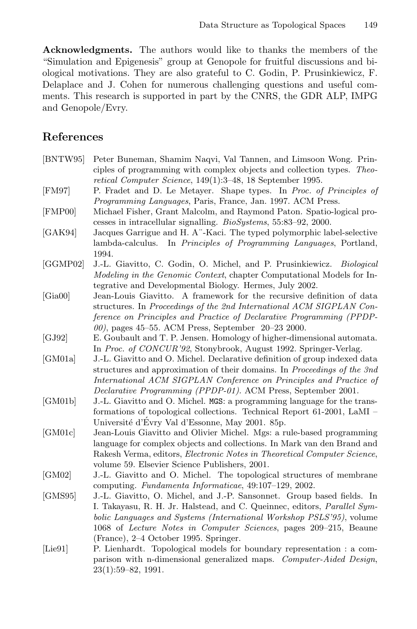<span id="page-12-0"></span>**Acknowledgments.** The authors would like to thanks the members of the "Simulation and Epigenesis" group at Genopole for fruitful discussions and biological motivations. They are also grateful to C. Godin, P. Prusinkiewicz, F. Delaplace and J. Cohen for numerous challenging questions and useful comments. This research is supported in part by the CNRS, the GDR ALP, IMPG and Genopole/Evry.

### **References**

- [BNTW95] Peter Buneman, Shamim Naqvi, Val Tannen, and Limsoon Wong. Principles of programming with complex objects and collection types. Theoretical Computer Science, 149(1):3–48, 18 September 1995.
- [FM97] P. Fradet and D. Le Metayer. Shape types. In Proc. of Principles of Programming Languages, Paris, France, Jan. 1997. ACM Press.
- [FMP00] Michael Fisher, Grant Malcolm, and Raymond Paton. Spatio-logical processes in intracellular signalling. BioSystems, 55:83–92, 2000.
- [GAK94] Jacques Garrigue and H. A¨-Kaci. The typed polymorphic label-selective lambda-calculus. In Principles of Programming Languages, Portland, 1994.
- [GGMP02] J.-L. Giavitto, C. Godin, O. Michel, and P. Prusinkiewicz. Biological Modeling in the Genomic Context, chapter Computational Models for Integrative and Developmental Biology. Hermes, July 2002.
- [Gia00] Jean-Louis Giavitto. A framework for the recursive definition of data structures. In Proceedings of the 2nd International ACM SIGPLAN Conference on Principles and Practice of Declarative Programming (PPDP-00), pages 45–55. ACM Press, September 20–23 2000.
- [GJ92] E. Goubault and T. P. Jensen. Homology of higher-dimensional automata. In Proc. of CONCUR'92, Stonybrook, August 1992. Springer-Verlag.
- [GM01a] J.-L. Giavitto and O. Michel. Declarative definition of group indexed data structures and approximation of their domains. In Proceedings of the 3nd International ACM SIGPLAN Conference on Principles and Practice of Declarative Programming (PPDP-01). ACM Press, September 2001.
- [GM01b] J.-L. Giavitto and O. Michel. MGS: a programming language for the transformations of topological collections. Technical Report 61-2001, LaMI – Université d'Evry Val d'Essonne, May 2001. 85p.
- [GM01c] Jean-Louis Giavitto and Olivier Michel. Mgs: a rule-based programming language for complex objects and collections. In Mark van den Brand and Rakesh Verma, editors, Electronic Notes in Theoretical Computer Science, volume 59. Elsevier Science Publishers, 2001.
- [GM02] J.-L. Giavitto and O. Michel. The topological structures of membrane computing. Fundamenta Informaticae, 49:107–129, 2002.
- [GMS95] J.-L. Giavitto, O. Michel, and J.-P. Sansonnet. Group based fields. In I. Takayasu, R. H. Jr. Halstead, and C. Queinnec, editors, Parallel Symbolic Languages and Systems (International Workshop PSLS'95), volume 1068 of Lecture Notes in Computer Sciences, pages 209–215, Beaune (France), 2–4 October 1995. Springer.
- [Lie91] P. Lienhardt. Topological models for boundary representation : a comparison with n-dimensional generalized maps. Computer-Aided Design, 23(1):59–82, 1991.